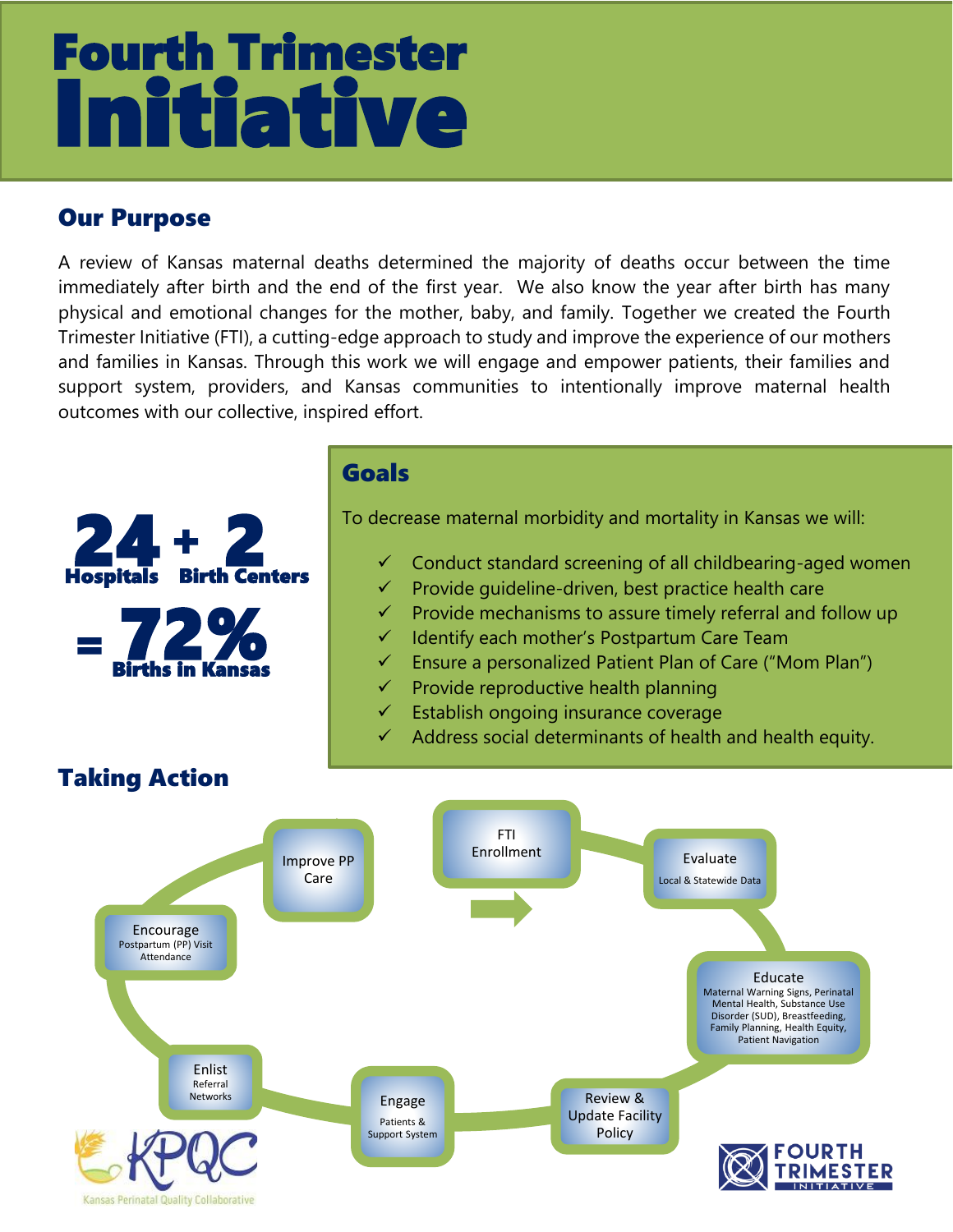## ★★★- Itiative Fourth Trimester

## Our Purpose

A review of Kansas maternal deaths determined the majority of deaths occur between the time immediately after birth and the end of the first year. We also know the year after birth has many physical and emotional changes for the mother, baby, and family. Together we created the Fourth Trimester Initiative (FTI), a cutting-edge approach to study and improve the experience of our mothers and families in Kansas. Through this work we will engage and empower patients, their families and support system, providers, and Kansas communities to intentionally improve maternal health outcomes with our collective, inspired effort.